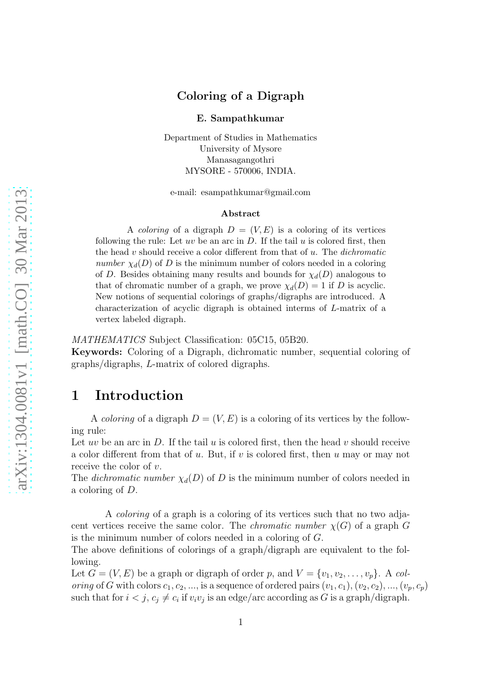#### Coloring of a Digraph

E. Sampathkumar

Department of Studies in Mathematics University of Mysore Manasagangothri MYSORE - 570006, INDIA.

e-mail: esampathkumar@gmail.com

#### Abstract

A *coloring* of a digraph  $D = (V, E)$  is a coloring of its vertices following the rule: Let uv be an arc in  $D$ . If the tail  $u$  is colored first, then the head  $v$  should receive a color different from that of  $u$ . The *dichromatic* number  $\chi_d(D)$  of D is the minimum number of colors needed in a coloring of D. Besides obtaining many results and bounds for  $\chi_d(D)$  analogous to that of chromatic number of a graph, we prove  $\chi_d(D) = 1$  if D is acyclic. New notions of sequential colorings of graphs/digraphs are introduced. A characterization of acyclic digraph is obtained interms of L-matrix of a vertex labeled digraph.

MATHEMATICS Subject Classification: 05C15, 05B20.

Keywords: Coloring of a Digraph, dichromatic number, sequential coloring of graphs/digraphs, L-matrix of colored digraphs.

# 1 Introduction

A *coloring* of a digraph  $D = (V, E)$  is a coloring of its vertices by the following rule:

Let uv be an arc in  $D$ . If the tail  $u$  is colored first, then the head  $v$  should receive a color different from that of  $u$ . But, if  $v$  is colored first, then  $u$  may or may not receive the color of  $v$ .

The dichromatic number  $\chi_d(D)$  of D is the minimum number of colors needed in a coloring of D.

A coloring of a graph is a coloring of its vertices such that no two adjacent vertices receive the same color. The *chromatic number*  $\chi(G)$  of a graph G is the minimum number of colors needed in a coloring of G.

The above definitions of colorings of a graph/digraph are equivalent to the following.

Let  $G = (V, E)$  be a graph or digraph of order p, and  $V = \{v_1, v_2, \ldots, v_p\}$ . A coloring of G with colors  $c_1, c_2, ...,$  is a sequence of ordered pairs  $(v_1, c_1), (v_2, c_2), ..., (v_p, c_p)$ such that for  $i < j$ ,  $c_j \neq c_i$  if  $v_i v_j$  is an edge/arc according as G is a graph/digraph.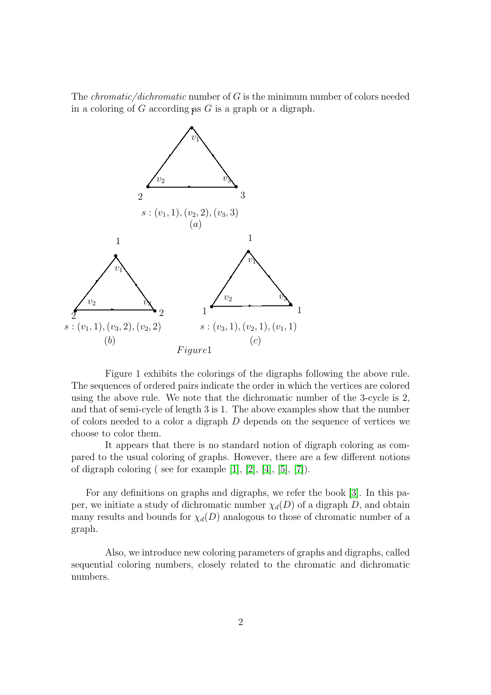The *chromatic/dichromatic* number of  $G$  is the minimum number of colors needed in a coloring of  $G$  according as  $G$  is a graph or a digraph.



Figure 1 exhibits the colorings of the digraphs following the above rule. The sequences of ordered pairs indicate the order in which the vertices are colored using the above rule. We note that the dichromatic number of the 3-cycle is 2, and that of semi-cycle of length 3 is 1. The above examples show that the number of colors needed to a color a digraph D depends on the sequence of vertices we choose to color them.

It appears that there is no standard notion of digraph coloring as compared to the usual coloring of graphs. However, there are a few different notions of digraph coloring ( see for example  $[1]$ ,  $[2]$ ,  $[4]$ ,  $[5]$ ,  $[7]$ ).

For any definitions on graphs and digraphs, we refer the book [\[3\]](#page-13-3). In this paper, we initiate a study of dichromatic number  $\chi_d(D)$  of a digraph D, and obtain many results and bounds for  $\chi_d(D)$  analogous to those of chromatic number of a graph.

Also, we introduce new coloring parameters of graphs and digraphs, called sequential coloring numbers, closely related to the chromatic and dichromatic numbers.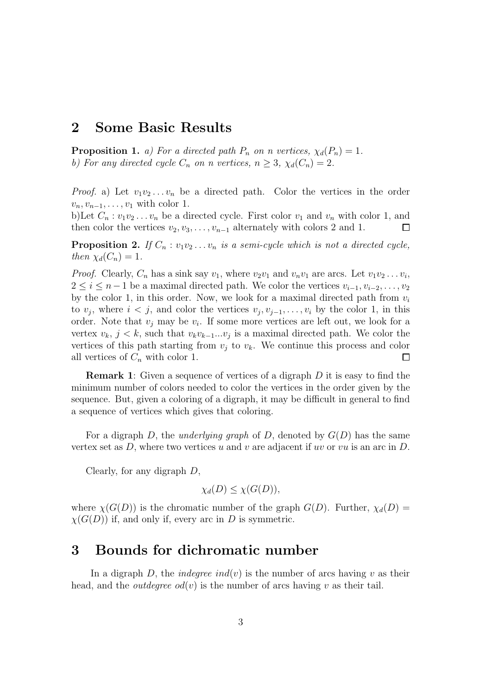### 2 Some Basic Results

**Proposition 1.** a) For a directed path  $P_n$  on n vertices,  $\chi_d(P_n) = 1$ . b) For any directed cycle  $C_n$  on n vertices,  $n \geq 3$ ,  $\chi_d(C_n) = 2$ .

*Proof.* a) Let  $v_1v_2...v_n$  be a directed path. Color the vertices in the order  $v_n, v_{n-1}, \ldots, v_1$  with color 1.

b)Let  $C_n : v_1v_2 \ldots v_n$  be a directed cycle. First color  $v_1$  and  $v_n$  with color 1, and then color the vertices  $v_2, v_3, \ldots, v_{n-1}$  alternately with colors 2 and 1.  $\Box$ 

**Proposition 2.** If  $C_n : v_1v_2 \ldots v_n$  is a semi-cycle which is not a directed cycle, then  $\chi_d(C_n) = 1$ .

*Proof.* Clearly,  $C_n$  has a sink say  $v_1$ , where  $v_2v_1$  and  $v_nv_1$  are arcs. Let  $v_1v_2 \ldots v_i$ ,  $2 \leq i \leq n-1$  be a maximal directed path. We color the vertices  $v_{i-1}, v_{i-2}, \ldots, v_2$ by the color 1, in this order. Now, we look for a maximal directed path from  $v_i$ to  $v_j$ , where  $i < j$ , and color the vertices  $v_j, v_{j-1}, \ldots, v_i$  by the color 1, in this order. Note that  $v_j$  may be  $v_i$ . If some more vertices are left out, we look for a vertex  $v_k$ ,  $j < k$ , such that  $v_k v_{k-1}...v_j$  is a maximal directed path. We color the vertices of this path starting from  $v_j$  to  $v_k$ . We continue this process and color all vertices of  $C_n$  with color 1.  $\Box$ 

**Remark 1:** Given a sequence of vertices of a digraph  $D$  it is easy to find the minimum number of colors needed to color the vertices in the order given by the sequence. But, given a coloring of a digraph, it may be difficult in general to find a sequence of vertices which gives that coloring.

For a digraph D, the *underlying graph* of D, denoted by  $G(D)$  has the same vertex set as  $D$ , where two vertices u and v are adjacent if uv or vu is an arc in  $D$ .

Clearly, for any digraph D,

$$
\chi_d(D) \leq \chi(G(D)),
$$

where  $\chi(G(D))$  is the chromatic number of the graph  $G(D)$ . Further,  $\chi_d(D)$  $\chi(G(D))$  if, and only if, every arc in D is symmetric.

### 3 Bounds for dichromatic number

In a digraph D, the *indegree ind(v)* is the number of arcs having v as their head, and the *outdegree*  $od(v)$  is the number of arcs having v as their tail.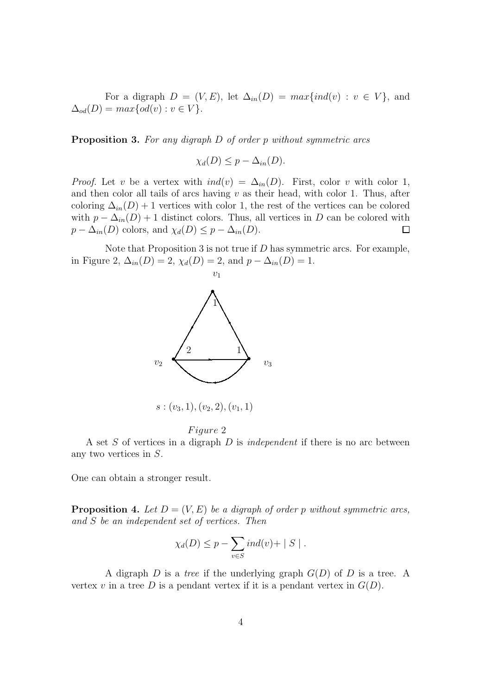For a digraph  $D = (V, E)$ , let  $\Delta_{in}(D) = max\{ind(v) : v \in V\}$ , and  $\Delta_{od}(D) = max\{od(v) : v \in V\}.$ 

Proposition 3. For any digraph D of order p without symmetric arcs

$$
\chi_d(D) \leq p - \Delta_{in}(D).
$$

*Proof.* Let v be a vertex with  $ind(v) = \Delta_{in}(D)$ . First, color v with color 1, and then color all tails of arcs having  $v$  as their head, with color 1. Thus, after coloring  $\Delta_{in}(D) + 1$  vertices with color 1, the rest of the vertices can be colored with  $p - \Delta_{in}(D) + 1$  distinct colors. Thus, all vertices in D can be colored with  $p - \Delta_{in}(D)$  colors, and  $\chi_d(D) \leq p - \Delta_{in}(D)$ .  $\Box$ 

Note that Proposition 3 is not true if  $D$  has symmetric arcs. For example, in Figure 2,  $\Delta_{in}(D) = 2$ ,  $\chi_d(D) = 2$ , and  $p - \Delta_{in}(D) = 1$ .



#### Figure 2

A set  $S$  of vertices in a digraph  $D$  is *independent* if there is no arc between any two vertices in S.

One can obtain a stronger result.

**Proposition 4.** Let  $D = (V, E)$  be a digraph of order p without symmetric arcs, and S be an independent set of vertices. Then

$$
\chi_d(D) \leq p - \sum_{v \in S} ind(v) + |S|.
$$

A digraph  $D$  is a tree if the underlying graph  $G(D)$  of  $D$  is a tree. A vertex v in a tree D is a pendant vertex if it is a pendant vertex in  $G(D)$ .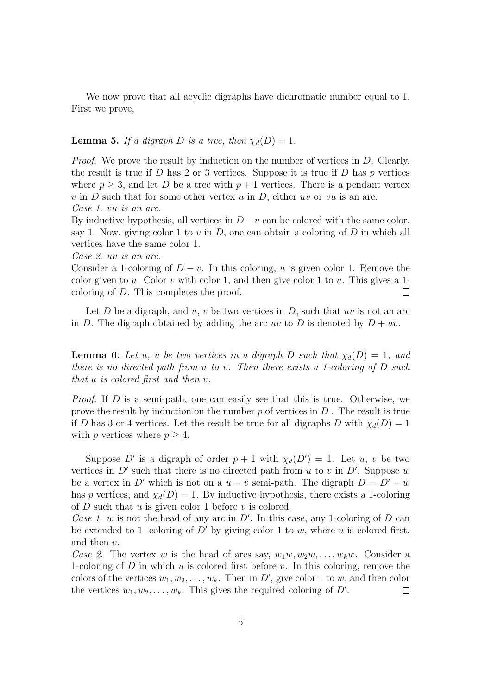We now prove that all acyclic digraphs have dichromatic number equal to 1. First we prove,

#### **Lemma 5.** If a digraph D is a tree, then  $\chi_d(D) = 1$ .

Proof. We prove the result by induction on the number of vertices in D. Clearly, the result is true if  $D$  has 2 or 3 vertices. Suppose it is true if  $D$  has  $p$  vertices where  $p \geq 3$ , and let D be a tree with  $p + 1$  vertices. There is a pendant vertex v in D such that for some other vertex u in D, either uv or vu is an arc. Case 1. vu is an arc.

By inductive hypothesis, all vertices in  $D - v$  can be colored with the same color, say 1. Now, giving color 1 to v in  $D$ , one can obtain a coloring of  $D$  in which all vertices have the same color 1.

#### Case 2. uv is an arc.

Consider a 1-coloring of  $D - v$ . In this coloring, u is given color 1. Remove the color given to u. Color v with color 1, and then give color 1 to u. This gives a 1coloring of D. This completes the proof.  $\Box$ 

Let  $D$  be a digraph, and  $u, v$  be two vertices in  $D$ , such that uv is not an arc in D. The digraph obtained by adding the arc uv to D is denoted by  $D + uv$ .

**Lemma 6.** Let u, v be two vertices in a digraph D such that  $\chi_d(D) = 1$ , and there is no directed path from u to v. Then there exists a 1-coloring of D such that u is colored first and then v.

*Proof.* If  $D$  is a semi-path, one can easily see that this is true. Otherwise, we prove the result by induction on the number  $p$  of vertices in  $D$ . The result is true if D has 3 or 4 vertices. Let the result be true for all digraphs D with  $\chi_d(D) = 1$ with p vertices where  $p \geq 4$ .

Suppose D' is a digraph of order  $p + 1$  with  $\chi_d(D') = 1$ . Let u, v be two vertices in  $D'$  such that there is no directed path from u to v in  $D'$ . Suppose w be a vertex in D' which is not on a  $u - v$  semi-path. The digraph  $D = D' - w$ has p vertices, and  $\chi_d(D) = 1$ . By inductive hypothesis, there exists a 1-coloring of  $D$  such that  $u$  is given color 1 before  $v$  is colored.

Case 1. w is not the head of any arc in  $D'$ . In this case, any 1-coloring of  $D$  can be extended to 1- coloring of  $D'$  by giving color 1 to w, where u is colored first, and then v.

Case 2. The vertex w is the head of arcs say,  $w_1w, w_2w, \ldots, w_kw$ . Consider a 1-coloring of  $D$  in which  $u$  is colored first before  $v$ . In this coloring, remove the colors of the vertices  $w_1, w_2, \ldots, w_k$ . Then in D', give color 1 to w, and then color the vertices  $w_1, w_2, \ldots, w_k$ . This gives the required coloring of  $D'$ .  $\Box$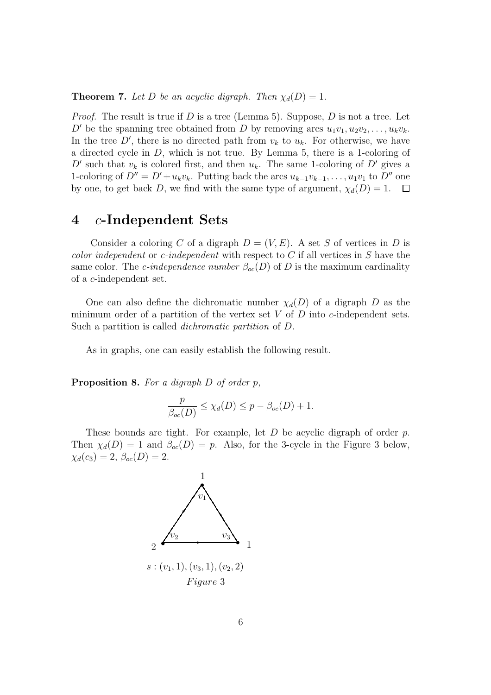**Theorem 7.** Let D be an acyclic digraph. Then  $\chi_d(D) = 1$ .

*Proof.* The result is true if D is a tree (Lemma 5). Suppose, D is not a tree. Let D' be the spanning tree obtained from D by removing arcs  $u_1v_1, u_2v_2, \ldots, u_kv_k$ . In the tree  $D'$ , there is no directed path from  $v_k$  to  $u_k$ . For otherwise, we have a directed cycle in D, which is not true. By Lemma 5, there is a 1-coloring of D' such that  $v_k$  is colored first, and then  $u_k$ . The same 1-coloring of D' gives a 1-coloring of  $D'' = D' + u_k v_k$ . Putting back the arcs  $u_{k-1}v_{k-1}, \ldots, u_1v_1$  to  $D''$  one by one, to get back D, we find with the same type of argument,  $\chi_d(D) = 1$ .  $\Box$ 

#### 4 c-Independent Sets

Consider a coloring C of a digraph  $D = (V, E)$ . A set S of vertices in D is *color independent* or *c*-independent with respect to  $C$  if all vertices in  $S$  have the same color. The *c*-independence number  $\beta_{oc}(D)$  of D is the maximum cardinality of a c-independent set.

One can also define the dichromatic number  $\chi_d(D)$  of a digraph D as the minimum order of a partition of the vertex set  $V$  of  $D$  into  $c$ -independent sets. Such a partition is called dichromatic partition of D.

As in graphs, one can easily establish the following result.

Proposition 8. For a digraph D of order p,

$$
\frac{p}{\beta_{oc}(D)} \le \chi_d(D) \le p - \beta_{oc}(D) + 1.
$$

These bounds are tight. For example, let  $D$  be acyclic digraph of order  $p$ . Then  $\chi_d(D) = 1$  and  $\beta_{oc}(D) = p$ . Also, for the 3-cycle in the Figure 3 below,  $\chi_d(c_3) = 2, \ \beta_{oc}(D) = 2.$ 

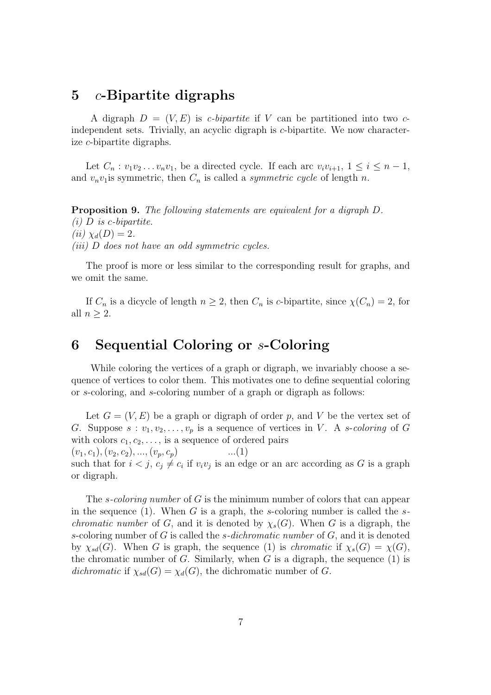### 5 c-Bipartite digraphs

A digraph  $D = (V, E)$  is *c*-bipartite if V can be partitioned into two *c*independent sets. Trivially, an acyclic digraph is c-bipartite. We now characterize c-bipartite digraphs.

Let  $C_n : v_1v_2 \ldots v_nv_1$ , be a directed cycle. If each arc  $v_iv_{i+1}, 1 \leq i \leq n-1$ , and  $v_n v_1$  is symmetric, then  $C_n$  is called a *symmetric cycle* of length n.

Proposition 9. The following statements are equivalent for a digraph D.  $(i)$  D is c-bipartite. (*ii*)  $\chi_d(D) = 2$ . (iii) D does not have an odd symmetric cycles.

The proof is more or less similar to the corresponding result for graphs, and we omit the same.

If  $C_n$  is a dicycle of length  $n \geq 2$ , then  $C_n$  is c-bipartite, since  $\chi(C_n) = 2$ , for all  $n > 2$ .

## 6 Sequential Coloring or s-Coloring

While coloring the vertices of a graph or digraph, we invariably choose a sequence of vertices to color them. This motivates one to define sequential coloring or s-coloring, and s-coloring number of a graph or digraph as follows:

Let  $G = (V, E)$  be a graph or digraph of order p, and V be the vertex set of G. Suppose  $s : v_1, v_2, \ldots, v_p$  is a sequence of vertices in V. A s-coloring of G with colors  $c_1, c_2, \ldots$ , is a sequence of ordered pairs

 $(v_1, c_1), (v_2, c_2), ..., (v_p, c_p)$  ...(1) such that for  $i < j$ ,  $c_j \neq c_i$  if  $v_i v_j$  is an edge or an arc according as G is a graph or digraph.

The *s-coloring number* of G is the minimum number of colors that can appear in the sequence (1). When G is a graph, the s-coloring number is called the s*chromatic number* of G, and it is denoted by  $\chi_s(G)$ . When G is a digraph, the s-coloring number of  $G$  is called the *s*-dichromatic number of  $G$ , and it is denoted by  $\chi_{sd}(G)$ . When G is graph, the sequence (1) is *chromatic* if  $\chi_s(G) = \chi(G)$ , the chromatic number of  $G$ . Similarly, when  $G$  is a digraph, the sequence  $(1)$  is dichromatic if  $\chi_{sd}(G) = \chi_d(G)$ , the dichromatic number of G.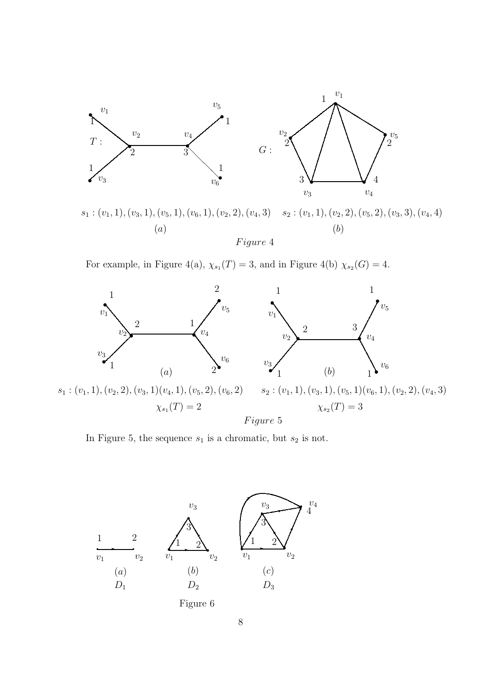

 $s_1: (v_1, 1), (v_3, 1), (v_5, 1), (v_6, 1), (v_2, 2), (v_4, 3)$   $s_2: (v_1, 1), (v_2, 2), (v_5, 2), (v_3, 3), (v_4, 4)$ (a) (b) Figure 4

For example, in Figure 4(a),  $\chi_{s_1}(T) = 3$ , and in Figure 4(b)  $\chi_{s_2}(G) = 4$ .



In Figure 5, the sequence  $s_1$  is a chromatic, but  $s_2$  is not.

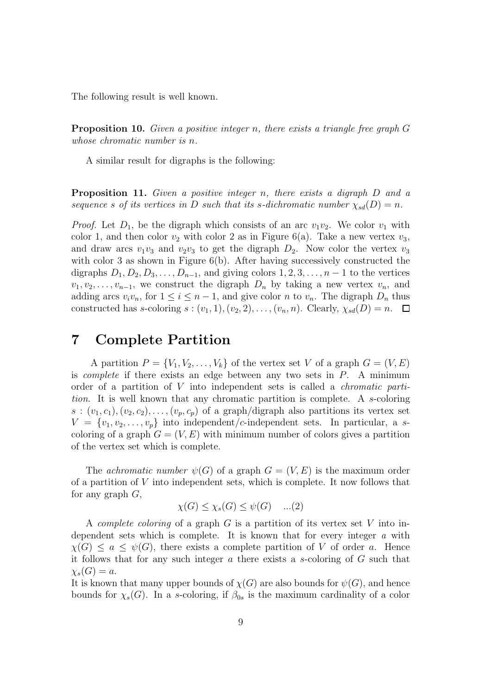The following result is well known.

Proposition 10. Given a positive integer n, there exists a triangle free graph G whose chromatic number is n.

A similar result for digraphs is the following:

Proposition 11. Given a positive integer n, there exists a digraph D and a sequence s of its vertices in D such that its s-dichromatic number  $\chi_{sd}(D) = n$ .

*Proof.* Let  $D_1$ , be the digraph which consists of an arc  $v_1v_2$ . We color  $v_1$  with color 1, and then color  $v_2$  with color 2 as in Figure 6(a). Take a new vertex  $v_3$ , and draw arcs  $v_1v_3$  and  $v_2v_3$  to get the digraph  $D_2$ . Now color the vertex  $v_3$ with color 3 as shown in Figure 6(b). After having successively constructed the digraphs  $D_1, D_2, D_3, \ldots, D_{n-1}$ , and giving colors  $1, 2, 3, \ldots, n-1$  to the vertices  $v_1, v_2, \ldots, v_{n-1}$ , we construct the digraph  $D_n$  by taking a new vertex  $v_n$ , and adding arcs  $v_i v_n$ , for  $1 \leq i \leq n-1$ , and give color n to  $v_n$ . The digraph  $D_n$  thus constructed has s-coloring  $s:(v_1, 1), (v_2, 2), \ldots, (v_n, n)$ . Clearly,  $\chi_{sd}(D) = n$ .  $\Box$ 

#### 7 Complete Partition

A partition  $P = \{V_1, V_2, \ldots, V_k\}$  of the vertex set V of a graph  $G = (V, E)$ is *complete* if there exists an edge between any two sets in  $P$ . A minimum order of a partition of V into independent sets is called a chromatic partition. It is well known that any chromatic partition is complete. A s-coloring  $s:(v_1, c_1), (v_2, c_2), \ldots, (v_p, c_p)$  of a graph/digraph also partitions its vertex set  $V = \{v_1, v_2, \ldots, v_p\}$  into independent/c-independent sets. In particular, a scoloring of a graph  $G = (V, E)$  with minimum number of colors gives a partition of the vertex set which is complete.

The *achromatic number*  $\psi(G)$  of a graph  $G = (V, E)$  is the maximum order of a partition of  $V$  into independent sets, which is complete. It now follows that for any graph  $G$ ,

$$
\chi(G) \le \chi_s(G) \le \psi(G) \quad ...(2)
$$

A *complete coloring* of a graph  $G$  is a partition of its vertex set  $V$  into independent sets which is complete. It is known that for every integer a with  $\chi(G) \leq a \leq \psi(G)$ , there exists a complete partition of V of order a. Hence it follows that for any such integer a there exists a s-coloring of  $G$  such that  $\chi_s(G) = a.$ 

It is known that many upper bounds of  $\chi(G)$  are also bounds for  $\psi(G)$ , and hence bounds for  $\chi_s(G)$ . In a s-coloring, if  $\beta_{0s}$  is the maximum cardinality of a color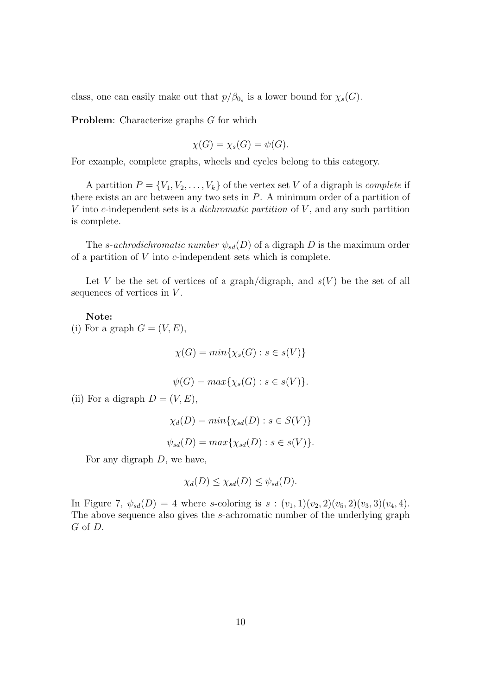class, one can easily make out that  $p/\beta_{0_s}$  is a lower bound for  $\chi_s(G)$ .

Problem: Characterize graphs G for which

$$
\chi(G) = \chi_s(G) = \psi(G).
$$

For example, complete graphs, wheels and cycles belong to this category.

A partition  $P = \{V_1, V_2, \ldots, V_k\}$  of the vertex set V of a digraph is *complete* if there exists an arc between any two sets in  $P$ . A minimum order of a partition of V into c-independent sets is a *dichromatic partition* of  $V$ , and any such partition is complete.

The s-achrodichromatic number  $\psi_{sd}(D)$  of a digraph D is the maximum order of a partition of  $V$  into  $c$ -independent sets which is complete.

Let V be the set of vertices of a graph/digraph, and  $s(V)$  be the set of all sequences of vertices in  $V$ .

Note:

(i) For a graph  $G = (V, E)$ ,

 $\chi(G) = min{\chi_s(G) : s \in s(V)}$ 

 $\psi(G) = max\{\chi_s(G) : s \in s(V)\}.$ 

(ii) For a digraph  $D = (V, E)$ ,

$$
\chi_d(D) = \min\{\chi_{sd}(D) : s \in S(V)\}
$$
  

$$
\psi_{sd}(D) = \max\{\chi_{sd}(D) : s \in s(V)\}.
$$

For any digraph  $D$ , we have,

$$
\chi_d(D) \leq \chi_{sd}(D) \leq \psi_{sd}(D).
$$

In Figure 7,  $\psi_{sd}(D) = 4$  where s-coloring is  $s : (v_1, 1)(v_2, 2)(v_5, 2)(v_3, 3)(v_4, 4)$ . The above sequence also gives the s-achromatic number of the underlying graph G of D.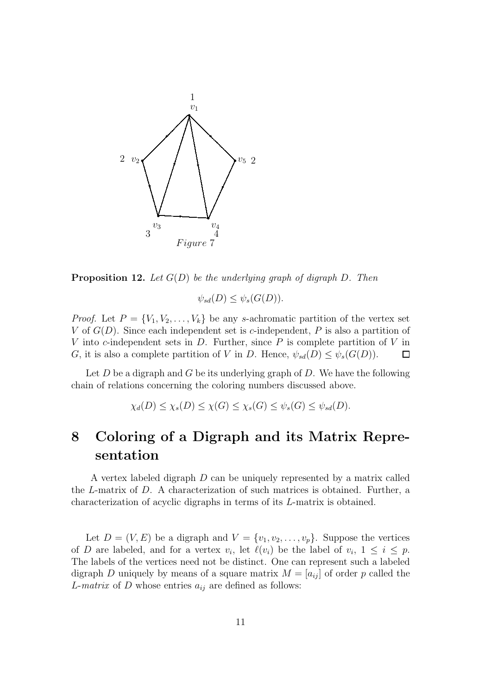

**Proposition 12.** Let  $G(D)$  be the underlying graph of digraph D. Then

$$
\psi_{sd}(D) \le \psi_s(G(D)).
$$

*Proof.* Let  $P = \{V_1, V_2, \ldots, V_k\}$  be any s-achromatic partition of the vertex set V of  $G(D)$ . Since each independent set is c-independent, P is also a partition of V into c-independent sets in  $D$ . Further, since  $P$  is complete partition of V in G, it is also a complete partition of V in D. Hence,  $\psi_{sd}(D) \leq \psi_s(G(D))$ .  $\Box$ 

Let  $D$  be a digraph and  $G$  be its underlying graph of  $D$ . We have the following chain of relations concerning the coloring numbers discussed above.

$$
\chi_d(D) \le \chi_s(D) \le \chi(G) \le \chi_s(G) \le \psi_s(G) \le \psi_{sd}(D).
$$

# 8 Coloring of a Digraph and its Matrix Representation

A vertex labeled digraph D can be uniquely represented by a matrix called the L-matrix of D. A characterization of such matrices is obtained. Further, a characterization of acyclic digraphs in terms of its L-matrix is obtained.

Let  $D = (V, E)$  be a digraph and  $V = \{v_1, v_2, \ldots, v_p\}$ . Suppose the vertices of D are labeled, and for a vertex  $v_i$ , let  $\ell(v_i)$  be the label of  $v_i$ ,  $1 \leq i \leq p$ . The labels of the vertices need not be distinct. One can represent such a labeled digraph D uniquely by means of a square matrix  $M = [a_{ij}]$  of order p called the L-matrix of D whose entries  $a_{ij}$  are defined as follows: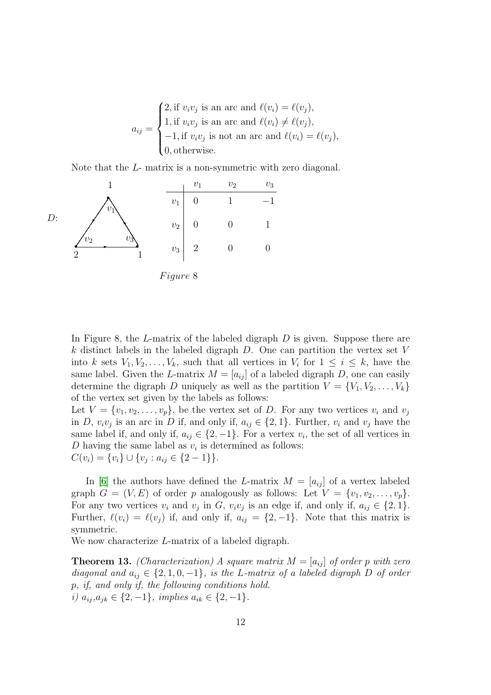$a_{ij} =$  $\sqrt{ }$  $\int$  $\overline{\mathcal{L}}$ 2, if  $v_i v_j$  is an arc and  $\ell(v_i) = \ell(v_j)$ , 1, if  $v_i v_j$  is an arc and  $\ell(v_i) \neq \ell(v_j)$ ,  $-1$ , if  $v_i v_j$  is not an arc and  $\ell(v_i) = \ell(v_j)$ , 0, otherwise.

Note that the L- matrix is a non-symmetric with zero diagonal.



In Figure 8, the  $L$ -matrix of the labeled digraph  $D$  is given. Suppose there are k distinct labels in the labeled digraph  $D$ . One can partition the vertex set V into k sets  $V_1, V_2, \ldots, V_k$ , such that all vertices in  $V_i$  for  $1 \leq i \leq k$ , have the same label. Given the L-matrix  $M = [a_{ij}]$  of a labeled digraph D, one can easily determine the digraph D uniquely as well as the partition  $V = \{V_1, V_2, \ldots, V_k\}$ of the vertex set given by the labels as follows:

Let  $V = \{v_1, v_2, \ldots, v_p\}$ , be the vertex set of D. For any two vertices  $v_i$  and  $v_j$ in D,  $v_i v_j$  is an arc in D if, and only if,  $a_{ij} \in \{2, 1\}$ . Further,  $v_i$  and  $v_j$  have the same label if, and only if,  $a_{ij} \in \{2, -1\}$ . For a vertex  $v_i$ , the set of all vertices in D having the same label as  $v_i$  is determined as follows:  $C(v_i) = \{v_i\} \cup \{v_j : a_{ij} \in \{2-1\}\}.$ 

In [\[6\]](#page-13-4) the authors have defined the L-matrix  $M = [a_{ij}]$  of a vertex labeled graph  $G = (V, E)$  of order p analogously as follows: Let  $V = \{v_1, v_2, \ldots, v_p\}$ . For any two vertices  $v_i$  and  $v_j$  in G,  $v_i v_j$  is an edge if, and only if,  $a_{ij} \in \{2, 1\}$ . Further,  $\ell(v_i) = \ell(v_j)$  if, and only if,  $a_{ij} = \{2, -1\}$ . Note that this matrix is symmetric.

We now characterize *L*-matrix of a labeled digraph.

**Theorem 13.** (Characterization) A square matrix  $M = [a_{ij}]$  of order p with zero diagonal and  $a_{ij} \in \{2, 1, 0, -1\}$ , is the L-matrix of a labeled digraph D of order p, if, and only if, the following conditions hold. i)  $a_{ij}, a_{jk} \in \{2, -1\}$ , implies  $a_{ik} \in \{2, -1\}$ .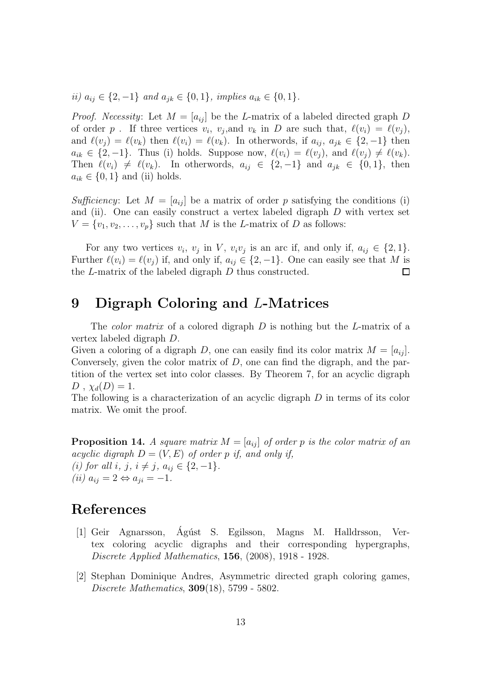ii)  $a_{ij}$  ∈ {2, -1} and  $a_{ik}$  ∈ {0, 1}, implies  $a_{ik}$  ∈ {0, 1}.

*Proof.* Necessity: Let  $M = [a_{ij}]$  be the L-matrix of a labeled directed graph D of order p. If three vertices  $v_i$ ,  $v_j$ , and  $v_k$  in D are such that,  $\ell(v_i) = \ell(v_j)$ , and  $\ell(v_i) = \ell(v_k)$  then  $\ell(v_i) = \ell(v_k)$ . In otherwords, if  $a_{ij}, a_{jk} \in \{2, -1\}$  then  $a_{ik} \in \{2,-1\}.$  Thus (i) holds. Suppose now,  $\ell(v_i) = \ell(v_j)$ , and  $\ell(v_j) \neq \ell(v_k)$ . Then  $\ell(v_i) \neq \ell(v_k)$ . In otherwords,  $a_{ij} \in \{2, -1\}$  and  $a_{jk} \in \{0, 1\}$ , then  $a_{ik} \in \{0, 1\}$  and (ii) holds.

Sufficiency: Let  $M = |a_{ij}|$  be a matrix of order p satisfying the conditions (i) and (ii). One can easily construct a vertex labeled digraph D with vertex set  $V = \{v_1, v_2, \ldots, v_p\}$  such that M is the L-matrix of D as follows:

For any two vertices  $v_i$ ,  $v_j$  in V,  $v_i v_j$  is an arc if, and only if,  $a_{ij} \in \{2, 1\}$ . Further  $\ell(v_i) = \ell(v_j)$  if, and only if,  $a_{ij} \in \{2, -1\}$ . One can easily see that M is the L-matrix of the labeled digraph D thus constructed.  $\Box$ 

## 9 Digraph Coloring and L-Matrices

The *color matrix* of a colored digraph D is nothing but the L-matrix of a vertex labeled digraph D.

Given a coloring of a digraph D, one can easily find its color matrix  $M = [a_{ij}]$ . Conversely, given the color matrix of  $D$ , one can find the digraph, and the partition of the vertex set into color classes. By Theorem 7, for an acyclic digraph  $D$ ,  $\chi_d(D) = 1$ .

The following is a characterization of an acyclic digraph  $D$  in terms of its color matrix. We omit the proof.

**Proposition 14.** A square matrix  $M = [a_{ij}]$  of order p is the color matrix of an acyclic digraph  $D = (V, E)$  of order p if, and only if, (i) for all i, j,  $i \neq j$ ,  $a_{ij} \in \{2, -1\}.$  $(ii) a_{ij} = 2 \Leftrightarrow a_{ji} = -1.$ 

## <span id="page-12-0"></span>References

- [1] Geir Agnarsson, Ag´ust S. Egilsson, Magns M. Halldrsson, Ver- ´ tex coloring acyclic digraphs and their corresponding hypergraphs, Discrete Applied Mathematics, 156, (2008), 1918 - 1928.
- <span id="page-12-1"></span>[2] Stephan Dominique Andres, Asymmetric directed graph coloring games, Discrete Mathematics, 309(18), 5799 - 5802.